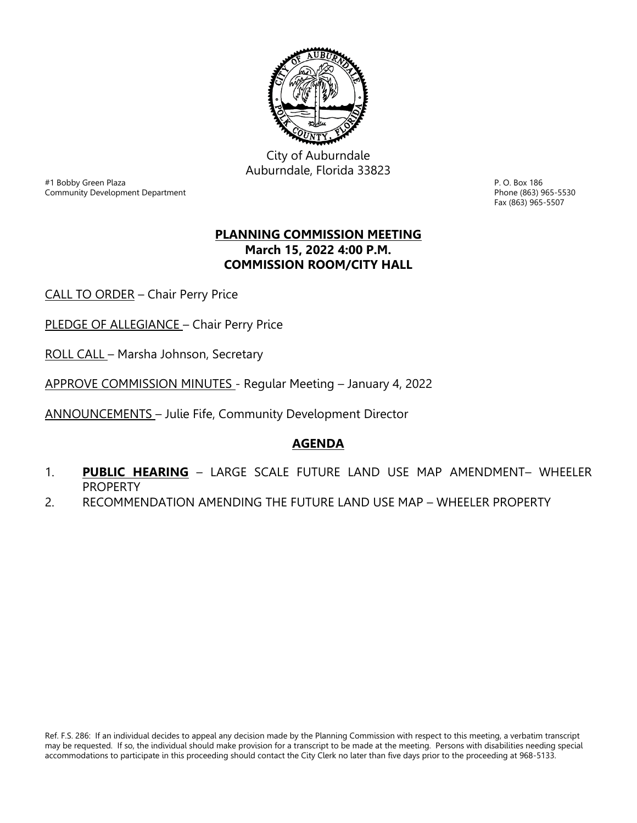

City of Auburndale Auburndale, Florida 33823

er and the state of the state of the state of the state of the state of the state of the state of the state of the S<br>Phone (863) 965-5530<br>Community Development Department Community Development Department

Fax (863) 965-5507

## **PLANNING COMMISSION MEETING March 15, 2022 4:00 P.M. COMMISSION ROOM/CITY HALL**

CALL TO ORDER – Chair Perry Price

PLEDGE OF ALLEGIANCE - Chair Perry Price

ROLL CALL – Marsha Johnson, Secretary

APPROVE COMMISSION MINUTES - Regular Meeting – January 4, 2022

ANNOUNCEMENTS – Julie Fife, Community Development Director

## **AGENDA**

- 1. **PUBLIC HEARING** LARGE SCALE FUTURE LAND USE MAP AMENDMENT– WHEELER PROPERTY
- 2. RECOMMENDATION AMENDING THE FUTURE LAND USE MAP WHEELER PROPERTY

Ref. F.S. 286: If an individual decides to appeal any decision made by the Planning Commission with respect to this meeting, a verbatim transcript may be requested. If so, the individual should make provision for a transcript to be made at the meeting. Persons with disabilities needing special accommodations to participate in this proceeding should contact the City Clerk no later than five days prior to the proceeding at 968-5133.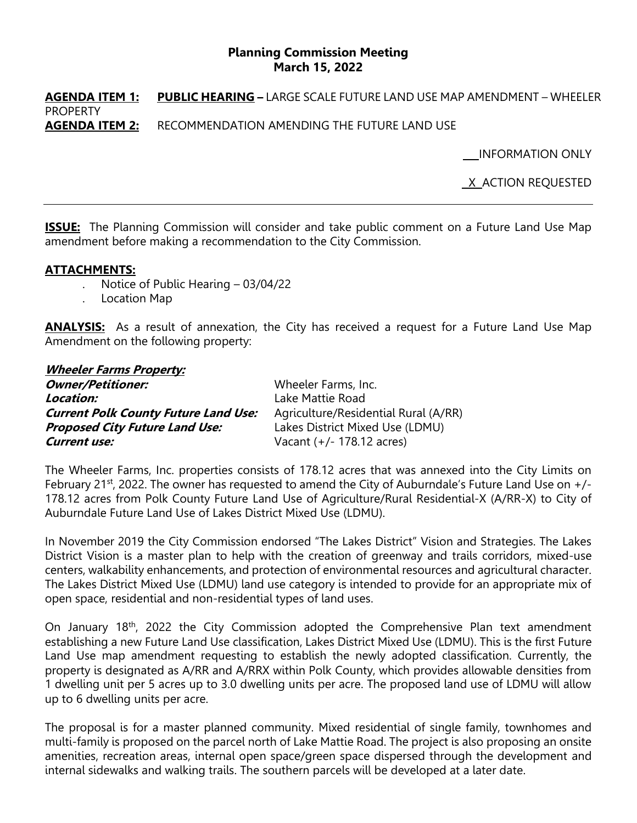## **Planning Commission Meeting March 15, 2022**

**AGENDA ITEM 1: PUBLIC HEARING –** LARGE SCALE FUTURE LAND USE MAP AMENDMENT – WHEELER PROPERTY **AGENDA ITEM 2:** RECOMMENDATION AMENDING THE FUTURE LAND USE

INFORMATION ONLY

X ACTION REQUESTED

**ISSUE:** The Planning Commission will consider and take public comment on a Future Land Use Map amendment before making a recommendation to the City Commission.

## **ATTACHMENTS:**

- . Notice of Public Hearing 03/04/22
- . Location Map

**ANALYSIS:** As a result of annexation, the City has received a request for a Future Land Use Map Amendment on the following property:

| <b>Wheeler Farms Property:</b>              |                                      |
|---------------------------------------------|--------------------------------------|
| <b>Owner/Petitioner:</b>                    | Wheeler Farms, Inc.                  |
| Location:                                   | Lake Mattie Road                     |
| <b>Current Polk County Future Land Use:</b> | Agriculture/Residential Rural (A/RR) |
| <b>Proposed City Future Land Use:</b>       | Lakes District Mixed Use (LDMU)      |
| <b>Current use:</b>                         | Vacant $(+/- 178.12$ acres)          |

The Wheeler Farms, Inc. properties consists of 178.12 acres that was annexed into the City Limits on February 21<sup>st</sup>, 2022. The owner has requested to amend the City of Auburndale's Future Land Use on +/-178.12 acres from Polk County Future Land Use of Agriculture/Rural Residential-X (A/RR-X) to City of Auburndale Future Land Use of Lakes District Mixed Use (LDMU).

In November 2019 the City Commission endorsed "The Lakes District" Vision and Strategies. The Lakes District Vision is a master plan to help with the creation of greenway and trails corridors, mixed-use centers, walkability enhancements, and protection of environmental resources and agricultural character. The Lakes District Mixed Use (LDMU) land use category is intended to provide for an appropriate mix of open space, residential and non-residential types of land uses.

On January 18<sup>th</sup>, 2022 the City Commission adopted the Comprehensive Plan text amendment establishing a new Future Land Use classification, Lakes District Mixed Use (LDMU). This is the first Future Land Use map amendment requesting to establish the newly adopted classification. Currently, the property is designated as A/RR and A/RRX within Polk County, which provides allowable densities from 1 dwelling unit per 5 acres up to 3.0 dwelling units per acre. The proposed land use of LDMU will allow up to 6 dwelling units per acre.

The proposal is for a master planned community. Mixed residential of single family, townhomes and multi-family is proposed on the parcel north of Lake Mattie Road. The project is also proposing an onsite amenities, recreation areas, internal open space/green space dispersed through the development and internal sidewalks and walking trails. The southern parcels will be developed at a later date.